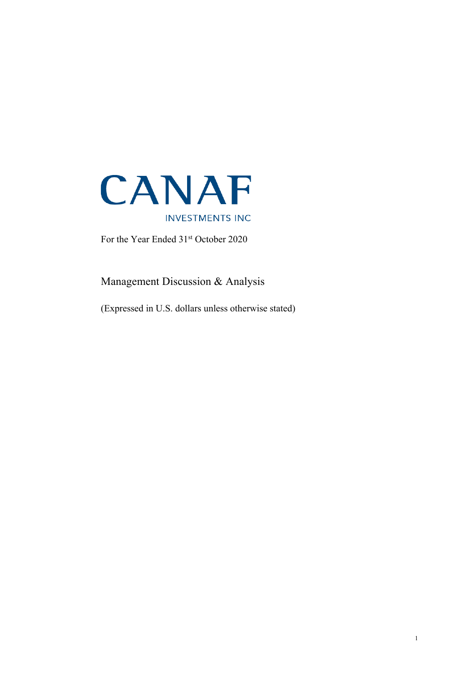

For the Year Ended 31st October 2020

Management Discussion & Analysis

(Expressed in U.S. dollars unless otherwise stated)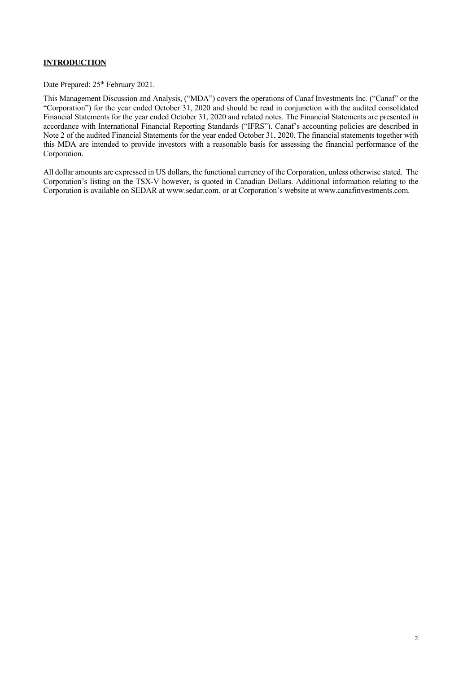# **INTRODUCTION**

Date Prepared:  $25<sup>th</sup>$  February 2021.

This Management Discussion and Analysis, ("MDA") covers the operations of Canaf Investments Inc. ("Canaf" or the "Corporation") for the year ended October 31, 2020 and should be read in conjunction with the audited consolidated Financial Statements for the year ended October 31, 2020 and related notes. The Financial Statements are presented in accordance with International Financial Reporting Standards ("IFRS"). Canaf's accounting policies are described in Note 2 of the audited Financial Statements for the year ended October 31, 2020. The financial statements together with this MDA are intended to provide investors with a reasonable basis for assessing the financial performance of the Corporation.

All dollar amounts are expressed in US dollars, the functional currency of the Corporation, unless otherwise stated. The Corporation's listing on the TSX-V however, is quoted in Canadian Dollars. Additional information relating to the Corporation is available on SEDAR at www.sedar.com. or at Corporation's website at www.canafinvestments.com.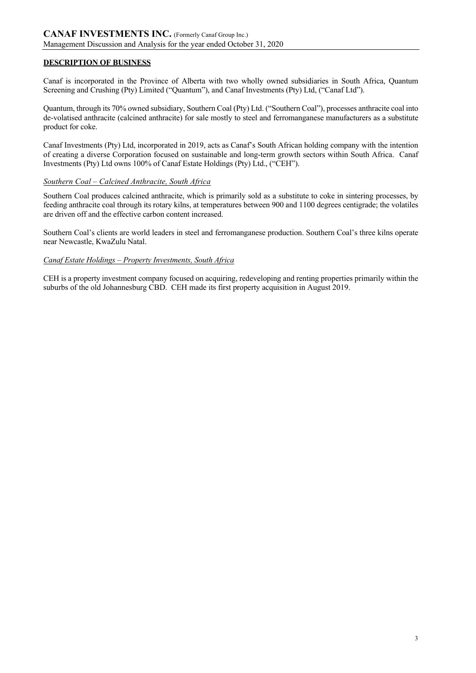# **DESCRIPTION OF BUSINESS**

Canaf is incorporated in the Province of Alberta with two wholly owned subsidiaries in South Africa, Quantum Screening and Crushing (Pty) Limited ("Quantum"), and Canaf Investments (Pty) Ltd, ("Canaf Ltd").

Quantum, through its 70% owned subsidiary, Southern Coal (Pty) Ltd. ("Southern Coal"), processes anthracite coal into de-volatised anthracite (calcined anthracite) for sale mostly to steel and ferromanganese manufacturers as a substitute product for coke.

Canaf Investments (Pty) Ltd, incorporated in 2019, acts as Canaf's South African holding company with the intention of creating a diverse Corporation focused on sustainable and long-term growth sectors within South Africa. Canaf Investments (Pty) Ltd owns 100% of Canaf Estate Holdings (Pty) Ltd., ("CEH").

### *Southern Coal – Calcined Anthracite, South Africa*

Southern Coal produces calcined anthracite, which is primarily sold as a substitute to coke in sintering processes, by feeding anthracite coal through its rotary kilns, at temperatures between 900 and 1100 degrees centigrade; the volatiles are driven off and the effective carbon content increased.

Southern Coal's clients are world leaders in steel and ferromanganese production. Southern Coal's three kilns operate near Newcastle, KwaZulu Natal.

## *Canaf Estate Holdings – Property Investments, South Africa*

CEH is a property investment company focused on acquiring, redeveloping and renting properties primarily within the suburbs of the old Johannesburg CBD. CEH made its first property acquisition in August 2019.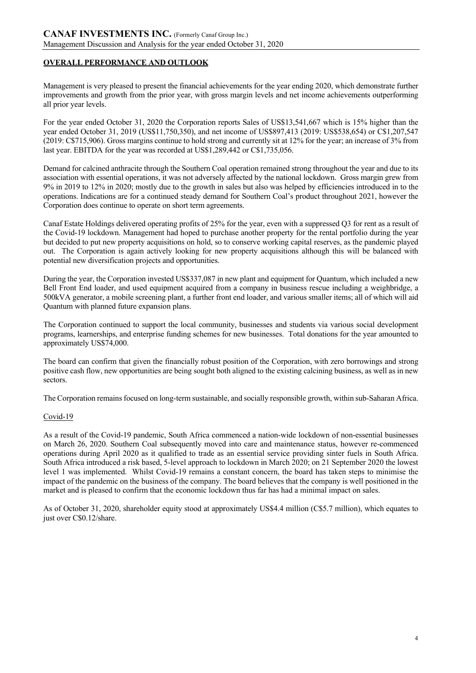# **OVERALL PERFORMANCE AND OUTLOOK**

Management is very pleased to present the financial achievements for the year ending 2020, which demonstrate further improvements and growth from the prior year, with gross margin levels and net income achievements outperforming all prior year levels.

For the year ended October 31, 2020 the Corporation reports Sales of US\$13,541,667 which is 15% higher than the year ended October 31, 2019 (US\$11,750,350), and net income of US\$897,413 (2019: US\$538,654) or C\$1,207,547 (2019: C\$715,906). Gross margins continue to hold strong and currently sit at 12% for the year; an increase of 3% from last year. EBITDA for the year was recorded at US\$1,289,442 or C\$1,735,056.

Demand for calcined anthracite through the Southern Coal operation remained strong throughout the year and due to its association with essential operations, it was not adversely affected by the national lockdown. Gross margin grew from 9% in 2019 to 12% in 2020; mostly due to the growth in sales but also was helped by efficiencies introduced in to the operations. Indications are for a continued steady demand for Southern Coal's product throughout 2021, however the Corporation does continue to operate on short term agreements.

Canaf Estate Holdings delivered operating profits of 25% for the year, even with a suppressed Q3 for rent as a result of the Covid-19 lockdown. Management had hoped to purchase another property for the rental portfolio during the year but decided to put new property acquisitions on hold, so to conserve working capital reserves, as the pandemic played out. The Corporation is again actively looking for new property acquisitions although this will be balanced with potential new diversification projects and opportunities.

During the year, the Corporation invested US\$337,087 in new plant and equipment for Quantum, which included a new Bell Front End loader, and used equipment acquired from a company in business rescue including a weighbridge, a 500kVA generator, a mobile screening plant, a further front end loader, and various smaller items; all of which will aid Quantum with planned future expansion plans.

The Corporation continued to support the local community, businesses and students via various social development programs, learnerships, and enterprise funding schemes for new businesses. Total donations for the year amounted to approximately US\$74,000.

The board can confirm that given the financially robust position of the Corporation, with zero borrowings and strong positive cash flow, new opportunities are being sought both aligned to the existing calcining business, as well as in new sectors.

The Corporation remains focused on long-term sustainable, and socially responsible growth, within sub-Saharan Africa.

# Covid-19

As a result of the Covid-19 pandemic, South Africa commenced a nation-wide lockdown of non-essential businesses on March 26, 2020. Southern Coal subsequently moved into care and maintenance status, however re-commenced operations during April 2020 as it qualified to trade as an essential service providing sinter fuels in South Africa. South Africa introduced a risk based, 5-level approach to lockdown in March 2020; on 21 September 2020 the lowest level 1 was implemented. Whilst Covid-19 remains a constant concern, the board has taken steps to minimise the impact of the pandemic on the business of the company. The board believes that the company is well positioned in the market and is pleased to confirm that the economic lockdown thus far has had a minimal impact on sales.

As of October 31, 2020, shareholder equity stood at approximately US\$4.4 million (C\$5.7 million), which equates to just over C\$0.12/share.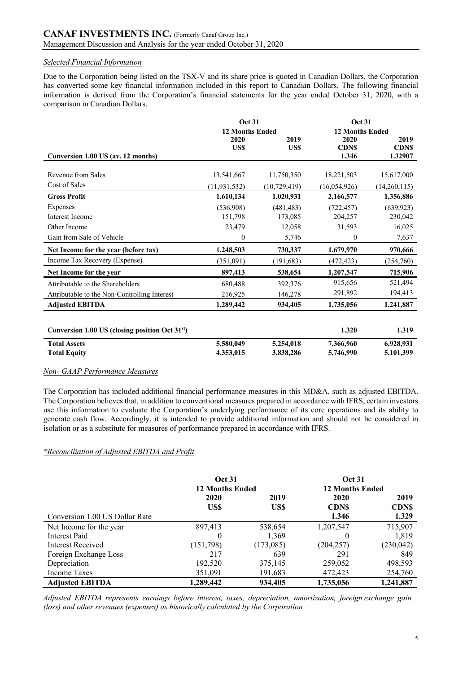## *Selected Financial Information*

Due to the Corporation being listed on the TSX-V and its share price is quoted in Canadian Dollars, the Corporation has converted some key financial information included in this report to Canadian Dollars. The following financial information is derived from the Corporation's financial statements for the year ended October 31, 2020, with a comparison in Canadian Dollars.

|                                                             | <b>Oct 31</b>          |                | <b>Oct 31</b>          |              |  |
|-------------------------------------------------------------|------------------------|----------------|------------------------|--------------|--|
|                                                             | <b>12 Months Ended</b> |                | <b>12 Months Ended</b> |              |  |
|                                                             | 2020                   | 2019           | 2020                   | 2019         |  |
|                                                             | US\$                   | US\$           | <b>CDNS</b>            | <b>CDNS</b>  |  |
| Conversion 1.00 US (av. 12 months)                          |                        |                | 1.346                  | 1.32907      |  |
|                                                             |                        |                |                        |              |  |
| Revenue from Sales                                          | 13,541,667             | 11,750,350     | 18,221,503             | 15,617,000   |  |
| Cost of Sales                                               | (11, 931, 532)         | (10, 729, 419) | (16,054,926)           | (14,260,115) |  |
| <b>Gross Profit</b>                                         | 1,610,134              | 1,020,931      | 2,166,577              | 1,356,886    |  |
| Expenses                                                    | (536,908)              | (481, 483)     | (722, 457)             | (639, 923)   |  |
| Interest Income                                             | 151,798                | 173,085        | 204,257                | 230,042      |  |
| Other Income                                                | 23,479                 | 12,058         | 31,593                 | 16,025       |  |
| Gain from Sale of Vehicle                                   | $\theta$               | 5,746          | $\mathbf{0}$           | 7,637        |  |
| Net Income for the year (before tax)                        | 1,248,503              | 730,337        | 1,679,970              | 970,666      |  |
| Income Tax Recovery (Expense)                               | (351,091)              | (191,683)      | (472, 423)             | (254,760)    |  |
| Net Income for the year                                     | 897,413                | 538,654        | 1,207,547              | 715,906      |  |
| Attributable to the Shareholders                            | 680,488                | 392,376        | 915,656                | 521,494      |  |
| Attributable to the Non-Controlling Interest                | 216,925                | 146,278        | 291,892                | 194,413      |  |
| <b>Adjusted EBITDA</b>                                      | 1,289,442              | 934,405        | 1,735,056              | 1,241,887    |  |
|                                                             |                        |                |                        |              |  |
| Conversion 1.00 US (closing position Oct 31 <sup>st</sup> ) |                        |                | 1.320                  | 1.319        |  |
| <b>Total Assets</b>                                         | 5,580,049              | 5,254,018      | 7,366,960              | 6,928,931    |  |
| <b>Total Equity</b>                                         | 4,353,015              | 3,838,286      | 5,746,990              | 5,101,399    |  |

## *Non- GAAP Performance Measures*

The Corporation has included additional financial performance measures in this MD&A, such as adjusted EBITDA. The Corporation believes that, in addition to conventional measures prepared in accordance with IFRS, certain investors use this information to evaluate the Corporation's underlying performance of its core operations and its ability to generate cash flow. Accordingly, it is intended to provide additional information and should not be considered in isolation or as a substitute for measures of performance prepared in accordance with IFRS.

### *\*Reconciliation of Adjusted EBITDA and Profit*

|                                | <b>Oct 31</b>          |           | <b>Oct 31</b>          |             |  |
|--------------------------------|------------------------|-----------|------------------------|-------------|--|
|                                | <b>12 Months Ended</b> |           | <b>12 Months Ended</b> |             |  |
|                                | 2020                   | 2019      | 2020                   | 2019        |  |
|                                | US\$                   | US\$      | <b>CDNS</b>            | <b>CDNS</b> |  |
| Conversion 1.00 US Dollar Rate |                        |           | 1.346                  | 1.329       |  |
| Net Income for the year        | 897,413                | 538,654   | 1,207,547              | 715,907     |  |
| Interest Paid                  | 0                      | 1,369     | $\theta$               | 1,819       |  |
| Interest Received              | (151, 798)             | (173,085) | (204, 257)             | (230, 042)  |  |
| Foreign Exchange Loss          | 217                    | 639       | 291                    | 849         |  |
| Depreciation                   | 192,520                | 375,145   | 259,052                | 498,593     |  |
| Income Taxes                   | 351,091                | 191,683   | 472,423                | 254,760     |  |
| <b>Adjusted EBITDA</b>         | 1,289,442              | 934,405   | 1,735,056              | 1,241,887   |  |

*Adjusted EBITDA represents earnings before interest, taxes, depreciation, amortization, foreign exchange gain (loss) and other revenues (expenses) as historically calculated by the Corporation*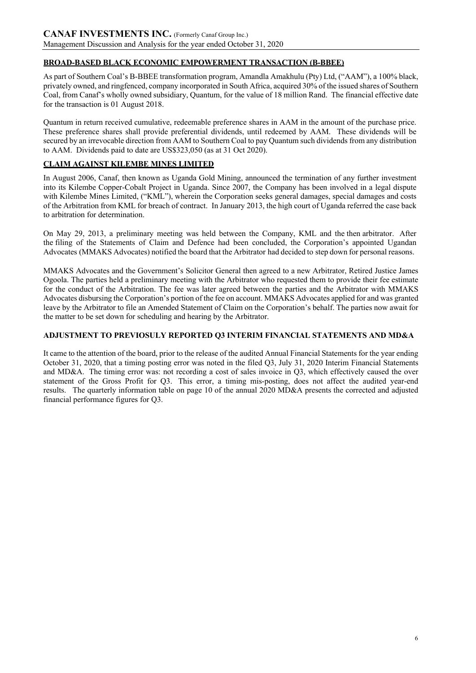# **BROAD-BASED BLACK ECONOMIC EMPOWERMENT TRANSACTION (B-BBEE)**

As part of Southern Coal's B-BBEE transformation program, Amandla Amakhulu (Pty) Ltd, ("AAM"), a 100% black, privately owned, and ringfenced, company incorporated in South Africa, acquired 30% of the issued shares of Southern Coal, from Canaf's wholly owned subsidiary, Quantum, for the value of 18 million Rand. The financial effective date for the transaction is 01 August 2018.

Quantum in return received cumulative, redeemable preference shares in AAM in the amount of the purchase price. These preference shares shall provide preferential dividends, until redeemed by AAM. These dividends will be secured by an irrevocable direction from AAM to Southern Coal to pay Quantum such dividends from any distribution to AAM. Dividends paid to date are US\$323,050 (as at 31 Oct 2020).

# **CLAIM AGAINST KILEMBE MINES LIMITED**

In August 2006, Canaf, then known as Uganda Gold Mining, announced the termination of any further investment into its Kilembe Copper-Cobalt Project in Uganda. Since 2007, the Company has been involved in a legal dispute with Kilembe Mines Limited, ("KML"), wherein the Corporation seeks general damages, special damages and costs of the Arbitration from KML for breach of contract. In January 2013, the high court of Uganda referred the case back to arbitration for determination.

On May 29, 2013, a preliminary meeting was held between the Company, KML and the then arbitrator. After the filing of the Statements of Claim and Defence had been concluded, the Corporation's appointed Ugandan Advocates (MMAKS Advocates) notified the board that the Arbitrator had decided to step down for personal reasons.

MMAKS Advocates and the Government's Solicitor General then agreed to a new Arbitrator, Retired Justice James Ogoola. The parties held a preliminary meeting with the Arbitrator who requested them to provide their fee estimate for the conduct of the Arbitration. The fee was later agreed between the parties and the Arbitrator with MMAKS Advocates disbursing the Corporation's portion of the fee on account. MMAKS Advocates applied for and was granted leave by the Arbitrator to file an Amended Statement of Claim on the Corporation's behalf. The parties now await for the matter to be set down for scheduling and hearing by the Arbitrator.

# **ADJUSTMENT TO PREVIOSULY REPORTED Q3 INTERIM FINANCIAL STATEMENTS AND MD&A**

It came to the attention of the board, prior to the release of the audited Annual Financial Statements for the year ending October 31, 2020, that a timing posting error was noted in the filed Q3, July 31, 2020 Interim Financial Statements and MD&A. The timing error was: not recording a cost of sales invoice in Q3, which effectively caused the over statement of the Gross Profit for Q3. This error, a timing mis-posting, does not affect the audited year-end results. The quarterly information table on page 10 of the annual 2020 MD&A presents the corrected and adjusted financial performance figures for Q3.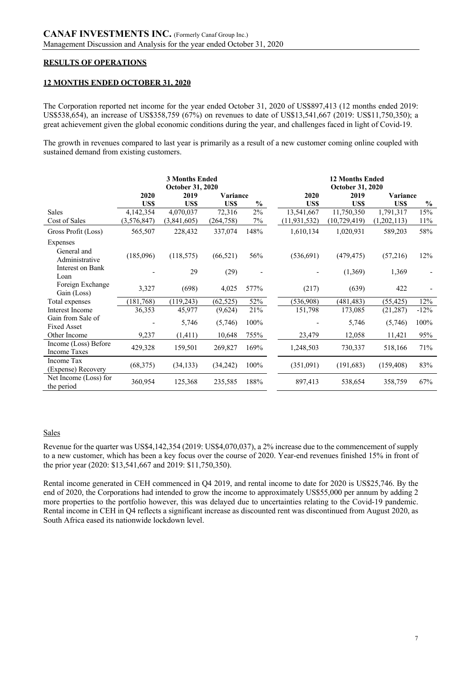## **RESULTS OF OPERATIONS**

## **12 MONTHS ENDED OCTOBER 31, 2020**

The Corporation reported net income for the year ended October 31, 2020 of US\$897,413 (12 months ended 2019: US\$538,654), an increase of US\$358,759 (67%) on revenues to date of US\$13,541,667 (2019: US\$11,750,350); a great achievement given the global economic conditions during the year, and challenges faced in light of Covid-19.

The growth in revenues compared to last year is primarily as a result of a new customer coming online coupled with sustained demand from existing customers.

|                                             | <b>3 Months Ended</b><br>October 31, 2020 |             |            |               | <b>12 Months Ended</b><br><b>October 31, 2020</b> |                |             |               |  |
|---------------------------------------------|-------------------------------------------|-------------|------------|---------------|---------------------------------------------------|----------------|-------------|---------------|--|
|                                             | 2020                                      | 2019        | Variance   |               | 2020                                              | 2019           |             | Variance      |  |
|                                             | US\$                                      | US\$        | US\$       | $\frac{0}{0}$ | US\$                                              | US\$           | US\$        | $\frac{0}{0}$ |  |
| <b>Sales</b>                                | 4,142,354                                 | 4,070,037   | 72,316     | 2%            | 13,541,667                                        | 11,750,350     | 1,791,317   | 15%           |  |
| Cost of Sales                               | (3,576,847)                               | (3,841,605) | (264, 758) | 7%            | (11, 931, 532)                                    | (10, 729, 419) | (1,202,113) | 11%           |  |
| Gross Profit (Loss)                         | 565,507                                   | 228,432     | 337,074    | 148%          | 1,610,134                                         | 1,020,931      | 589,203     | 58%           |  |
| Expenses                                    |                                           |             |            |               |                                                   |                |             |               |  |
| General and<br>Administrative               | (185,096)                                 | (118, 575)  | (66, 521)  | 56%           | (536,691)                                         | (479, 475)     | (57,216)    | 12%           |  |
| Interest on Bank<br>Loan                    |                                           | 29          | (29)       |               |                                                   | (1,369)        | 1,369       |               |  |
| Foreign Exchange<br>Gain (Loss)             | 3,327                                     | (698)       | 4,025      | 577%          | (217)                                             | (639)          | 422         |               |  |
| Total expenses                              | (181, 768)                                | (119, 243)  | (62, 525)  | 52%           | (536,908)                                         | (481, 483)     | (55, 425)   | 12%           |  |
| <b>Interest Income</b>                      | 36,353                                    | 45,977      | (9,624)    | 21%           | 151,798                                           | 173,085        | (21, 287)   | $-12%$        |  |
| Gain from Sale of<br><b>Fixed Asset</b>     |                                           | 5,746       | (5,746)    | 100%          |                                                   | 5,746          | (5,746)     | 100%          |  |
| Other Income                                | 9,237                                     | (1,411)     | 10,648     | 755%          | 23,479                                            | 12,058         | 11,421      | 95%           |  |
| Income (Loss) Before<br><b>Income Taxes</b> | 429,328                                   | 159,501     | 269,827    | 169%          | 1,248,503                                         | 730,337        | 518,166     | 71%           |  |
| Income Tax<br>(Expense) Recovery            | (68, 375)                                 | (34, 133)   | (34,242)   | 100%          | (351,091)                                         | (191, 683)     | (159, 408)  | 83%           |  |
| Net Income (Loss) for<br>the period         | 360,954                                   | 125,368     | 235,585    | 188%          | 897,413                                           | 538,654        | 358,759     | 67%           |  |

## Sales

Revenue for the quarter was US\$4,142,354 (2019: US\$4,070,037), a 2% increase due to the commencement of supply to a new customer, which has been a key focus over the course of 2020. Year-end revenues finished 15% in front of the prior year (2020: \$13,541,667 and 2019: \$11,750,350).

Rental income generated in CEH commenced in Q4 2019, and rental income to date for 2020 is US\$25,746. By the end of 2020, the Corporations had intended to grow the income to approximately US\$55,000 per annum by adding 2 more properties to the portfolio however, this was delayed due to uncertainties relating to the Covid-19 pandemic. Rental income in CEH in Q4 reflects a significant increase as discounted rent was discontinued from August 2020, as South Africa eased its nationwide lockdown level.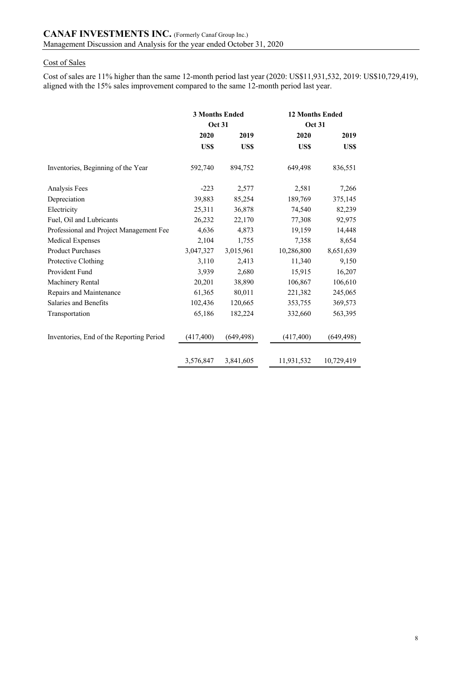### Cost of Sales

Cost of sales are 11% higher than the same 12-month period last year (2020: US\$11,931,532, 2019: US\$10,729,419), aligned with the 15% sales improvement compared to the same 12-month period last year.

|                                          | <b>3 Months Ended</b><br><b>Oct 31</b> |            | <b>12 Months Ended</b><br><b>Oct 31</b> |            |
|------------------------------------------|----------------------------------------|------------|-----------------------------------------|------------|
|                                          | 2020                                   | 2019       | 2020                                    | 2019       |
|                                          | US\$                                   | US\$       | US\$                                    | US\$       |
| Inventories, Beginning of the Year       | 592,740                                | 894,752    | 649,498                                 | 836,551    |
| Analysis Fees                            | $-223$                                 | 2,577      | 2,581                                   | 7,266      |
| Depreciation                             | 39,883                                 | 85,254     | 189,769                                 | 375,145    |
| Electricity                              | 25,311                                 | 36,878     | 74,540                                  | 82,239     |
| Fuel, Oil and Lubricants                 | 26,232                                 | 22,170     | 77,308                                  | 92,975     |
| Professional and Project Management Fee  | 4,636                                  | 4,873      | 19,159                                  | 14,448     |
| <b>Medical Expenses</b>                  | 2,104                                  | 1,755      | 7,358                                   | 8,654      |
| <b>Product Purchases</b>                 | 3,047,327                              | 3,015,961  | 10,286,800                              | 8,651,639  |
| Protective Clothing                      | 3,110                                  | 2,413      | 11,340                                  | 9,150      |
| Provident Fund                           | 3,939                                  | 2,680      | 15,915                                  | 16,207     |
| Machinery Rental                         | 20,201                                 | 38,890     | 106,867                                 | 106,610    |
| Repairs and Maintenance                  | 61,365                                 | 80,011     | 221,382                                 | 245,065    |
| Salaries and Benefits                    | 102,436                                | 120,665    | 353,755                                 | 369,573    |
| Transportation                           | 65,186                                 | 182,224    | 332,660                                 | 563,395    |
| Inventories, End of the Reporting Period | (417, 400)                             | (649, 498) | (417, 400)                              | (649, 498) |
|                                          | 3,576,847                              | 3,841,605  | 11,931,532                              | 10,729,419 |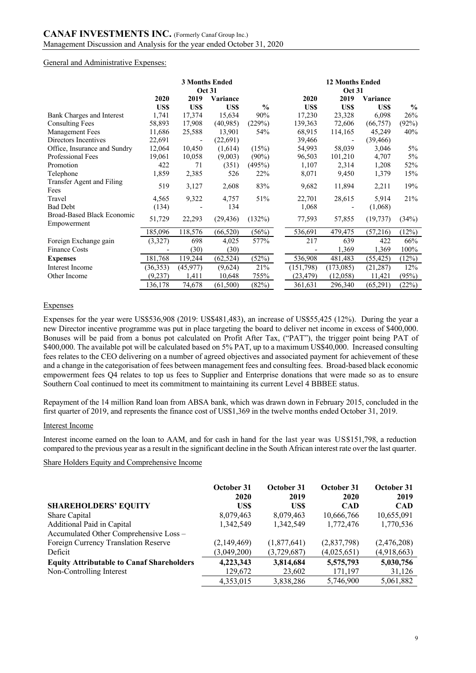#### General and Administrative Expenses:

|                                           | <b>3 Months Ended</b><br><b>Oct 31</b> |          |           | <b>12 Months Ended</b><br><b>Oct 31</b> |           |                          |           |               |
|-------------------------------------------|----------------------------------------|----------|-----------|-----------------------------------------|-----------|--------------------------|-----------|---------------|
|                                           | 2020                                   | 2019     | Variance  |                                         | 2020      | 2019                     | Variance  |               |
|                                           | US\$                                   | US\$     | US\$      | $\frac{0}{0}$                           | US\$      | US\$                     | US\$      | $\frac{6}{9}$ |
| Bank Charges and Interest                 | 1,741                                  | 17,374   | 15,634    | 90%                                     | 17,230    | 23,328                   | 6,098     | 26%           |
| <b>Consulting Fees</b>                    | 58,893                                 | 17,908   | (40,985)  | (229%)                                  | 139,363   | 72,606                   | (66, 757) | (92%)         |
| <b>Management Fees</b>                    | 11,686                                 | 25,588   | 13,901    | 54%                                     | 68,915    | 114,165                  | 45,249    | 40%           |
| Directors Incentives                      | 22,691                                 |          | (22,691)  |                                         | 39,466    | $\overline{\phantom{a}}$ | (39, 466) |               |
| Office, Insurance and Sundry              | 12,064                                 | 10,450   | (1,614)   | (15%)                                   | 54,993    | 58,039                   | 3,046     | $5\%$         |
| Professional Fees                         | 19,061                                 | 10,058   | (9,003)   | $(90\%)$                                | 96,503    | 101,210                  | 4,707     | $5\%$         |
| Promotion                                 | 422                                    | 71       | (351)     | (495%)                                  | 1,107     | 2,314                    | 1,208     | 52%           |
| Telephone                                 | 1,859                                  | 2,385    | 526       | 22%                                     | 8,071     | 9,450                    | 1,379     | 15%           |
| Transfer Agent and Filing<br>Fees         | 519                                    | 3,127    | 2,608     | 83%                                     | 9,682     | 11,894                   | 2,211     | 19%           |
| Travel                                    | 4,565                                  | 9,322    | 4,757     | 51%                                     | 22,701    | 28,615                   | 5,914     | 21%           |
| <b>Bad Debt</b>                           | (134)                                  |          | 134       |                                         | 1,068     |                          | (1,068)   |               |
| Broad-Based Black Economic<br>Empowerment | 51,729                                 | 22,293   | (29, 436) | (132%)                                  | 77,593    | 57,855                   | (19, 737) | (34%)         |
|                                           | 185,096                                | 118,576  | (66, 520) | (56%)                                   | 536,691   | 479,475                  | (57,216)  | (12%)         |
| Foreign Exchange gain                     | (3,327)                                | 698      | 4,025     | 577%                                    | 217       | 639                      | 422       | 66%           |
| <b>Finance Costs</b>                      |                                        | (30)     | (30)      |                                         |           | 1,369                    | 1,369     | 100%          |
| <b>Expenses</b>                           | 181,768                                | 119,244  | (62, 524) | (52%)                                   | 536,908   | 481,483                  | (55, 425) | (12%)         |
| Interest Income                           | (36, 353)                              | (45,977) | (9,624)   | 21%                                     | (151,798) | (173,085)                | (21, 287) | 12%           |
| Other Income                              | (9,237)                                | 1,411    | 10,648    | 755%                                    | (23, 479) | (12,058)                 | 11,421    | (95%)         |
|                                           | 136,178                                | 74,678   | (61, 500) | (82%)                                   | 361,631   | 296,340                  | (65,291)  | (22%)         |

### Expenses

Expenses for the year were US\$536,908 (2019: US\$481,483), an increase of US\$55,425 (12%). During the year a new Director incentive programme was put in place targeting the board to deliver net income in excess of \$400,000. Bonuses will be paid from a bonus pot calculated on Profit After Tax, ("PAT"), the trigger point being PAT of \$400,000. The available pot will be calculated based on 5% PAT, up to a maximum US\$40,000. Increased consulting fees relates to the CEO delivering on a number of agreed objectives and associated payment for achievement of these and a change in the categorisation of fees between management fees and consulting fees. Broad-based black economic empowerment fees Q4 relates to top us fees to Supplier and Enterprise donations that were made so as to ensure Southern Coal continued to meet its commitment to maintaining its current Level 4 BBBEE status.

Repayment of the 14 million Rand loan from ABSA bank, which was drawn down in February 2015, concluded in the first quarter of 2019, and represents the finance cost of US\$1,369 in the twelve months ended October 31, 2019.

### Interest Income

Interest income earned on the loan to AAM, and for cash in hand for the last year was US\$151,798, a reduction compared to the previous year as a result in the significant decline in the South African interest rate over the last quarter.

#### Share Holders Equity and Comprehensive Income

|                                                  | October 31<br>2020 | October 31<br>2019 | October 31<br>2020 | October 31<br>2019 |
|--------------------------------------------------|--------------------|--------------------|--------------------|--------------------|
| <b>SHAREHOLDERS' EQUITY</b>                      | US\$               | US\$               | <b>CAD</b>         | <b>CAD</b>         |
| Share Capital                                    | 8,079,463          | 8,079,463          | 10,666,766         | 10,655,091         |
| Additional Paid in Capital                       | 1,342,549          | 1,342,549          | 1,772,476          | 1,770,536          |
| Accumulated Other Comprehensive Loss -           |                    |                    |                    |                    |
| Foreign Currency Translation Reserve             | (2,149,469)        | (1,877,641)        | (2,837,798)        | (2,476,208)        |
| Deficit                                          | (3,049,200)        | (3,729,687)        | (4,025,651)        | (4,918,663)        |
| <b>Equity Attributable to Canaf Shareholders</b> | 4,223,343          | 3,814,684          | 5,575,793          | 5,030,756          |
| Non-Controlling Interest                         | 129,672            | 23,602             | 171,197            | 31,126             |
|                                                  | 4,353,015          | 3,838,286          | 5,746,900          | 5,061,882          |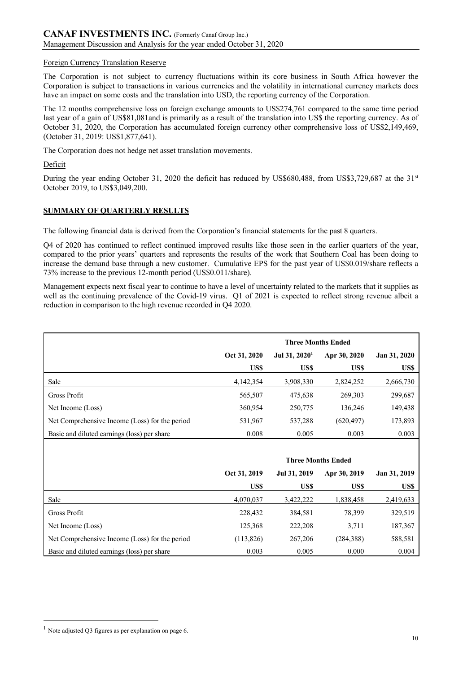## Foreign Currency Translation Reserve

The Corporation is not subject to currency fluctuations within its core business in South Africa however the Corporation is subject to transactions in various currencies and the volatility in international currency markets does have an impact on some costs and the translation into USD, the reporting currency of the Corporation.

The 12 months comprehensive loss on foreign exchange amounts to US\$274,761 compared to the same time period last year of a gain of US\$81,081and is primarily as a result of the translation into US\$ the reporting currency. As of October 31, 2020, the Corporation has accumulated foreign currency other comprehensive loss of US\$2,149,469, (October 31, 2019: US\$1,877,641).

The Corporation does not hedge net asset translation movements.

## Deficit

During the year ending October 31, 2020 the deficit has reduced by US\$680,488, from US\$3,729,687 at the 31<sup>st</sup> October 2019, to US\$3,049,200.

# **SUMMARY OF QUARTERLY RESULTS**

The following financial data is derived from the Corporation's financial statements for the past 8 quarters.

Q4 of 2020 has continued to reflect continued improved results like those seen in the earlier quarters of the year, compared to the prior years' quarters and represents the results of the work that Southern Coal has been doing to increase the demand base through a new customer. Cumulative EPS for the past year of US\$0.019/share reflects a 73% increase to the previous 12-month period (US\$0.011/share).

Management expects next fiscal year to continue to have a level of uncertainty related to the markets that it supplies as well as the continuing prevalence of the Covid-19 virus. Q1 of 2021 is expected to reflect strong revenue albeit a reduction in comparison to the high revenue recorded in Q4 2020.

|                                                | <b>Three Months Ended</b> |                           |              |              |  |  |
|------------------------------------------------|---------------------------|---------------------------|--------------|--------------|--|--|
|                                                | Oct 31, 2020              | Jul 31, 2020 <sup>1</sup> | Apr 30, 2020 | Jan 31, 2020 |  |  |
|                                                | US\$                      | US\$                      | US\$         | US\$         |  |  |
| Sale                                           | 4,142,354                 | 3,908,330                 | 2,824,252    | 2,666,730    |  |  |
| Gross Profit                                   | 565,507                   | 475,638                   | 269,303      | 299,687      |  |  |
| Net Income (Loss)                              | 360,954                   | 250,775                   | 136,246      | 149,438      |  |  |
| Net Comprehensive Income (Loss) for the period | 531,967                   | 537,288                   | (620, 497)   | 173,893      |  |  |
| Basic and diluted earnings (loss) per share    | 0.008                     | 0.005                     | 0.003        | 0.003        |  |  |

|                                                | <b>Three Months Ended</b> |              |              |           |  |  |
|------------------------------------------------|---------------------------|--------------|--------------|-----------|--|--|
|                                                | Oct 31, 2019              | Apr 30, 2019 | Jan 31, 2019 |           |  |  |
|                                                | US\$                      | US\$         | US\$         | US\$      |  |  |
| Sale                                           | 4,070,037                 | 3,422,222    | 1,838,458    | 2,419,633 |  |  |
| Gross Profit                                   | 228,432                   | 384,581      | 78,399       | 329,519   |  |  |
| Net Income (Loss)                              | 125,368                   | 222,208      | 3,711        | 187,367   |  |  |
| Net Comprehensive Income (Loss) for the period | (113, 826)                | 267,206      | (284, 388)   | 588,581   |  |  |
| Basic and diluted earnings (loss) per share    | 0.003                     | 0.005        | 0.000        | 0.004     |  |  |

 $1$  Note adjusted Q3 figures as per explanation on page 6.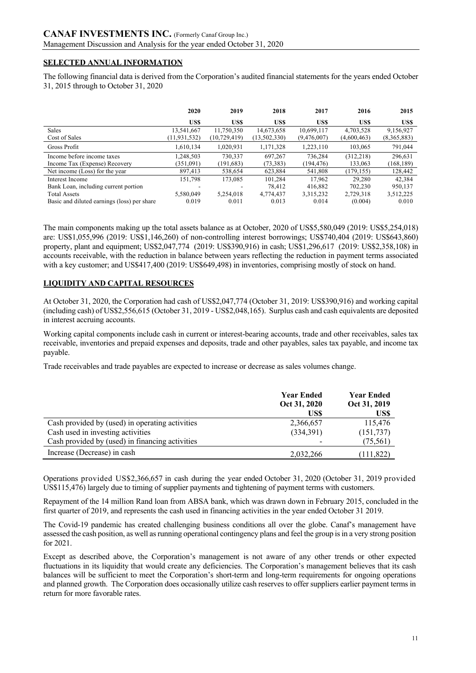# **SELECTED ANNUAL INFORMATION**

The following financial data is derived from the Corporation's audited financial statements for the years ended October 31, 2015 through to October 31, 2020

|                                             | 2020           | 2019           | 2018         | 2017        | 2016        | 2015        |
|---------------------------------------------|----------------|----------------|--------------|-------------|-------------|-------------|
|                                             | US\$           | US\$           | US\$         | US\$        | US\$        | US\$        |
| Sales                                       | 13,541,667     | 11,750,350     | 14,673,658   | 10,699,117  | 4,703,528   | 9,156,927   |
| Cost of Sales                               | (11, 931, 532) | (10, 729, 419) | (13,502,330) | (9,476,007) | (4,600,463) | (8,365,883) |
| Gross Profit                                | 1,610,134      | 1,020,931      | 1,171,328    | 1,223,110   | 103,065     | 791,044     |
| Income before income taxes                  | .248.503       | 730,337        | 697.267      | 736.284     | (312, 218)  | 296,631     |
| Income Tax (Expense) Recovery               | (351,091)      | (191, 683)     | (73, 383)    | (194, 476)  | 133,063     | (168, 189)  |
| Net income (Loss) for the year              | 897,413        | 538,654        | 623,884      | 541,808     | (179, 155)  | 128,442     |
| Interest Income                             | 151,798        | 173,085        | 101.284      | 17.962      | 29,280      | 42,384      |
| Bank Loan, including current portion        |                |                | 78.412       | 416,882     | 702,230     | 950,137     |
| <b>Total Assets</b>                         | 5,580,049      | 5,254,018      | 4,774,437    | 3,315,232   | 2,729,318   | 3,512,225   |
| Basic and diluted earnings (loss) per share | 0.019          | 0.011          | 0.013        | 0.014       | (0.004)     | 0.010       |

The main components making up the total assets balance as at October, 2020 of US\$5,580,049 (2019: US\$5,254,018) are: US\$1,055,996 (2019: US\$1,146,260) of non-controlling interest borrowings; US\$740,404 (2019: US\$643,860) property, plant and equipment; US\$2,047,774 (2019: US\$390,916) in cash; US\$1,296,617 (2019: US\$2,358,108) in accounts receivable, with the reduction in balance between years reflecting the reduction in payment terms associated with a key customer; and US\$417,400 (2019: US\$649,498) in inventories, comprising mostly of stock on hand.

# **LIQUIDITY AND CAPITAL RESOURCES**

At October 31, 2020, the Corporation had cash of US\$2,047,774 (October 31, 2019: US\$390,916) and working capital (including cash) of US\$2,556,615 (October 31, 2019 - US\$2,048,165). Surplus cash and cash equivalents are deposited in interest accruing accounts.

Working capital components include cash in current or interest-bearing accounts, trade and other receivables, sales tax receivable, inventories and prepaid expenses and deposits, trade and other payables, sales tax payable, and income tax payable.

Trade receivables and trade payables are expected to increase or decrease as sales volumes change.

|                                                 | <b>Year Ended</b><br>Oct 31, 2020<br>US\$ | <b>Year Ended</b><br>Oct 31, 2019<br>US\$ |
|-------------------------------------------------|-------------------------------------------|-------------------------------------------|
| Cash provided by (used) in operating activities | 2,366,657                                 | 115,476                                   |
| Cash used in investing activities               | (334,391)                                 | (151, 737)                                |
| Cash provided by (used) in financing activities |                                           | (75, 561)                                 |
| Increase (Decrease) in cash                     | 2,032,266                                 | (111, 822)                                |

Operations provided US\$2,366,657 in cash during the year ended October 31, 2020 (October 31, 2019 provided US\$115,476) largely due to timing of supplier payments and tightening of payment terms with customers.

Repayment of the 14 million Rand loan from ABSA bank, which was drawn down in February 2015, concluded in the first quarter of 2019, and represents the cash used in financing activities in the year ended October 31 2019.

The Covid-19 pandemic has created challenging business conditions all over the globe. Canaf's management have assessed the cash position, as well as running operational contingency plans and feel the group is in a very strong position for 2021.

Except as described above, the Corporation's management is not aware of any other trends or other expected fluctuations in its liquidity that would create any deficiencies. The Corporation's management believes that its cash balances will be sufficient to meet the Corporation's short-term and long-term requirements for ongoing operations and planned growth. The Corporation does occasionally utilize cash reserves to offer suppliers earlier payment terms in return for more favorable rates.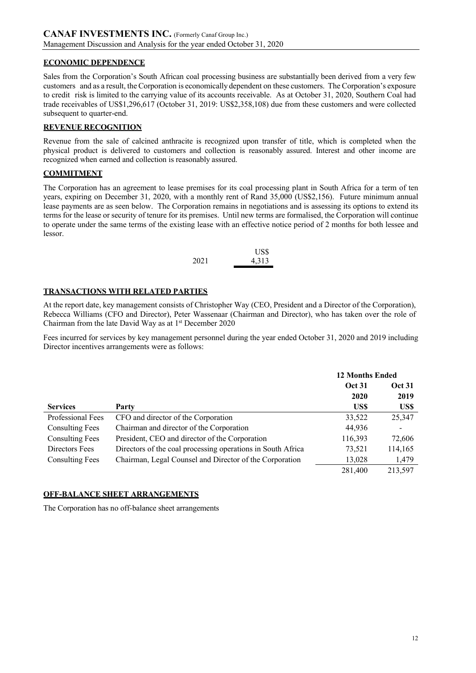# **ECONOMIC DEPENDENCE**

Sales from the Corporation's South African coal processing business are substantially been derived from a very few customers and as a result, the Corporation is economically dependent on these customers. The Corporation's exposure to credit risk is limited to the carrying value of its accounts receivable. As at October 31, 2020, Southern Coal had trade receivables of US\$1,296,617 (October 31, 2019: US\$2,358,108) due from these customers and were collected subsequent to quarter-end.

# **REVENUE RECOGNITION**

Revenue from the sale of calcined anthracite is recognized upon transfer of title, which is completed when the physical product is delivered to customers and collection is reasonably assured. Interest and other income are recognized when earned and collection is reasonably assured.

# **COMMITMENT**

The Corporation has an agreement to lease premises for its coal processing plant in South Africa for a term of ten years, expiring on December 31, 2020, with a monthly rent of Rand 35,000 (US\$2,156). Future minimum annual lease payments are as seen below. The Corporation remains in negotiations and is assessing its options to extend its terms for the lease or security of tenure for its premises. Until new terms are formalised, the Corporation will continue to operate under the same terms of the existing lease with an effective notice period of 2 months for both lessee and lessor.

|      | US\$  |
|------|-------|
| 2021 | 4,313 |

# **TRANSACTIONS WITH RELATED PARTIES**

At the report date, key management consists of Christopher Way (CEO, President and a Director of the Corporation), Rebecca Williams (CFO and Director), Peter Wassenaar (Chairman and Director), who has taken over the role of Chairman from the late David Way as at 1<sup>st</sup> December 2020

Fees incurred for services by key management personnel during the year ended October 31, 2020 and 2019 including Director incentives arrangements were as follows:

|                        |                                                             | <b>12 Months Ended</b>         |         |
|------------------------|-------------------------------------------------------------|--------------------------------|---------|
|                        |                                                             | <b>Oct 31</b><br><b>Oct 31</b> |         |
|                        |                                                             | 2020                           | 2019    |
| <b>Services</b>        | Party                                                       | US\$                           | US\$    |
| Professional Fees      | CFO and director of the Corporation                         | 33,522                         | 25,347  |
| <b>Consulting Fees</b> | Chairman and director of the Corporation                    | 44,936                         |         |
| <b>Consulting Fees</b> | President, CEO and director of the Corporation              | 116,393                        | 72,606  |
| Directors Fees         | Directors of the coal processing operations in South Africa | 73,521                         | 114,165 |
| <b>Consulting Fees</b> | Chairman, Legal Counsel and Director of the Corporation     | 13,028                         | 1,479   |
|                        |                                                             | 281,400                        | 213,597 |

# **OFF-BALANCE SHEET ARRANGEMENTS**

The Corporation has no off-balance sheet arrangements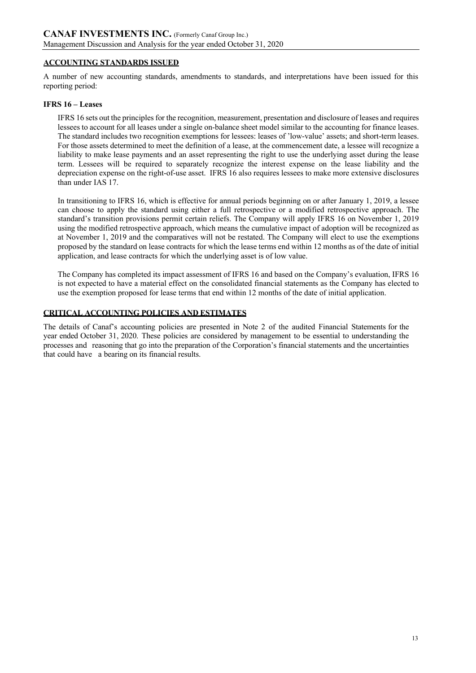## **ACCOUNTING STANDARDS ISSUED**

A number of new accounting standards, amendments to standards, and interpretations have been issued for this reporting period:

## **IFRS 16 – Leases**

IFRS 16 sets out the principles for the recognition, measurement, presentation and disclosure of leases and requires lessees to account for all leases under a single on-balance sheet model similar to the accounting for finance leases. The standard includes two recognition exemptions for lessees: leases of 'low-value' assets; and short-term leases. For those assets determined to meet the definition of a lease, at the commencement date, a lessee will recognize a liability to make lease payments and an asset representing the right to use the underlying asset during the lease term. Lessees will be required to separately recognize the interest expense on the lease liability and the depreciation expense on the right-of-use asset. IFRS 16 also requires lessees to make more extensive disclosures than under IAS 17.

In transitioning to IFRS 16, which is effective for annual periods beginning on or after January 1, 2019, a lessee can choose to apply the standard using either a full retrospective or a modified retrospective approach. The standard's transition provisions permit certain reliefs. The Company will apply IFRS 16 on November 1, 2019 using the modified retrospective approach, which means the cumulative impact of adoption will be recognized as at November 1, 2019 and the comparatives will not be restated. The Company will elect to use the exemptions proposed by the standard on lease contracts for which the lease terms end within 12 months as of the date of initial application, and lease contracts for which the underlying asset is of low value.

The Company has completed its impact assessment of IFRS 16 and based on the Company's evaluation, IFRS 16 is not expected to have a material effect on the consolidated financial statements as the Company has elected to use the exemption proposed for lease terms that end within 12 months of the date of initial application.

# **CRITICAL ACCOUNTING POLICIES AND ESTIMATES**

The details of Canaf's accounting policies are presented in Note 2 of the audited Financial Statements for the year ended October 31, 2020. These policies are considered by management to be essential to understanding the processes and reasoning that go into the preparation of the Corporation's financial statements and the uncertainties that could have a bearing on its financial results.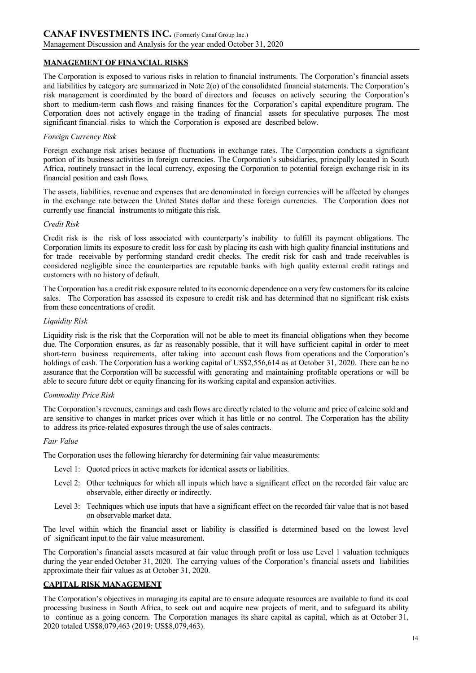## **MANAGEMENT OF FINANCIAL RISKS**

The Corporation is exposed to various risks in relation to financial instruments. The Corporation's financial assets and liabilities by category are summarized in Note 2(o) of the consolidated financial statements. The Corporation's risk management is coordinated by the board of directors and focuses on actively securing the Corporation's short to medium-term cash flows and raising finances for the Corporation's capital expenditure program. The Corporation does not actively engage in the trading of financial assets for speculative purposes. The most significant financial risks to which the Corporation is exposed are described below.

## *Foreign Currency Risk*

Foreign exchange risk arises because of fluctuations in exchange rates. The Corporation conducts a significant portion of its business activities in foreign currencies. The Corporation's subsidiaries, principally located in South Africa, routinely transact in the local currency, exposing the Corporation to potential foreign exchange risk in its financial position and cash flows.

The assets, liabilities, revenue and expenses that are denominated in foreign currencies will be affected by changes in the exchange rate between the United States dollar and these foreign currencies. The Corporation does not currently use financial instruments to mitigate this risk.

#### *Credit Risk*

Credit risk is the risk of loss associated with counterparty's inability to fulfill its payment obligations. The Corporation limits its exposure to credit loss for cash by placing its cash with high quality financial institutions and for trade receivable by performing standard credit checks. The credit risk for cash and trade receivables is considered negligible since the counterparties are reputable banks with high quality external credit ratings and customers with no history of default.

The Corporation has a credit risk exposure related to its economic dependence on a very few customers for its calcine sales. The Corporation has assessed its exposure to credit risk and has determined that no significant risk exists from these concentrations of credit.

#### *Liquidity Risk*

Liquidity risk is the risk that the Corporation will not be able to meet its financial obligations when they become due. The Corporation ensures, as far as reasonably possible, that it will have sufficient capital in order to meet short-term business requirements, after taking into account cash flows from operations and the Corporation's holdings of cash. The Corporation has a working capital of US\$2,556,614 as at October 31, 2020. There can be no assurance that the Corporation will be successful with generating and maintaining profitable operations or will be able to secure future debt or equity financing for its working capital and expansion activities.

#### *Commodity Price Risk*

The Corporation's revenues, earnings and cash flows are directly related to the volume and price of calcine sold and are sensitive to changes in market prices over which it has little or no control. The Corporation has the ability to address its price-related exposures through the use of sales contracts.

#### *Fair Value*

The Corporation uses the following hierarchy for determining fair value measurements:

- Level 1: Quoted prices in active markets for identical assets or liabilities.
- Level 2: Other techniques for which all inputs which have a significant effect on the recorded fair value are observable, either directly or indirectly.
- Level 3: Techniques which use inputs that have a significant effect on the recorded fair value that is not based on observable market data.

The level within which the financial asset or liability is classified is determined based on the lowest level of significant input to the fair value measurement.

The Corporation's financial assets measured at fair value through profit or loss use Level 1 valuation techniques during the year ended October 31, 2020. The carrying values of the Corporation's financial assets and liabilities approximate their fair values as at October 31, 2020.

### **CAPITAL RISK MANAGEMENT**

The Corporation's objectives in managing its capital are to ensure adequate resources are available to fund its coal processing business in South Africa, to seek out and acquire new projects of merit, and to safeguard its ability to continue as a going concern. The Corporation manages its share capital as capital, which as at October 31, 2020 totaled US\$8,079,463 (2019: US\$8,079,463).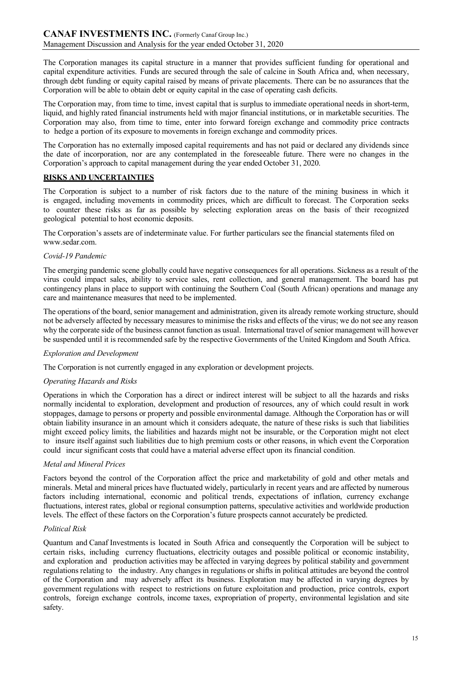The Corporation manages its capital structure in a manner that provides sufficient funding for operational and capital expenditure activities. Funds are secured through the sale of calcine in South Africa and, when necessary, through debt funding or equity capital raised by means of private placements. There can be no assurances that the Corporation will be able to obtain debt or equity capital in the case of operating cash deficits.

The Corporation may, from time to time, invest capital that is surplus to immediate operational needs in short-term, liquid, and highly rated financial instruments held with major financial institutions, or in marketable securities. The Corporation may also, from time to time, enter into forward foreign exchange and commodity price contracts to hedge a portion of its exposure to movements in foreign exchange and commodity prices.

The Corporation has no externally imposed capital requirements and has not paid or declared any dividends since the date of incorporation, nor are any contemplated in the foreseeable future. There were no changes in the Corporation's approach to capital management during the year ended October 31, 2020.

# **RISKS AND UNCERTAINTIES**

The Corporation is subject to a number of risk factors due to the nature of the mining business in which it is engaged, including movements in commodity prices, which are difficult to forecast. The Corporation seeks to counter these risks as far as possible by selecting exploration areas on the basis of their recognized geological potential to host economic deposits.

The Corporation's assets are of indeterminate value. For further particulars see the financial statements filed on www.sedar.com.

## *Covid-19 Pandemic*

The emerging pandemic scene globally could have negative consequences for all operations. Sickness as a result of the virus could impact sales, ability to service sales, rent collection, and general management. The board has put contingency plans in place to support with continuing the Southern Coal (South African) operations and manage any care and maintenance measures that need to be implemented.

The operations of the board, senior management and administration, given its already remote working structure, should not be adversely affected by necessary measures to minimise the risks and effects of the virus; we do not see any reason why the corporate side of the business cannot function as usual. International travel of senior management will however be suspended until it is recommended safe by the respective Governments of the United Kingdom and South Africa.

### *Exploration and Development*

The Corporation is not currently engaged in any exploration or development projects.

# *Operating Hazards and Risks*

Operations in which the Corporation has a direct or indirect interest will be subject to all the hazards and risks normally incidental to exploration, development and production of resources, any of which could result in work stoppages, damage to persons or property and possible environmental damage. Although the Corporation has or will obtain liability insurance in an amount which it considers adequate, the nature of these risks is such that liabilities might exceed policy limits, the liabilities and hazards might not be insurable, or the Corporation might not elect to insure itself against such liabilities due to high premium costs or other reasons, in which event the Corporation could incur significant costs that could have a material adverse effect upon its financial condition.

### *Metal and Mineral Prices*

Factors beyond the control of the Corporation affect the price and marketability of gold and other metals and minerals. Metal and mineral prices have fluctuated widely, particularly in recent years and are affected by numerous factors including international, economic and political trends, expectations of inflation, currency exchange fluctuations, interest rates, global or regional consumption patterns, speculative activities and worldwide production levels. The effect of these factors on the Corporation's future prospects cannot accurately be predicted.

### *Political Risk*

Quantum and Canaf Investments is located in South Africa and consequently the Corporation will be subject to certain risks, including currency fluctuations, electricity outages and possible political or economic instability, and exploration and production activities may be affected in varying degrees by political stability and government regulations relating to the industry. Any changes in regulations or shifts in political attitudes are beyond the control of the Corporation and may adversely affect its business. Exploration may be affected in varying degrees by government regulations with respect to restrictions on future exploitation and production, price controls, export controls, foreign exchange controls, income taxes, expropriation of property, environmental legislation and site safety.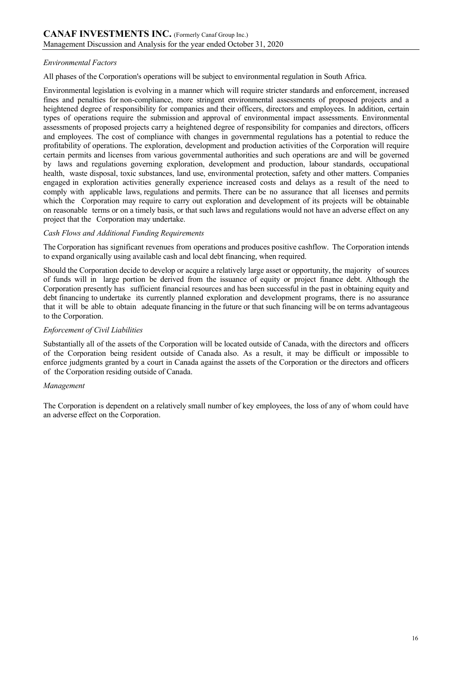## *Environmental Factors*

All phases of the Corporation's operations will be subject to environmental regulation in South Africa.

Environmental legislation is evolving in a manner which will require stricter standards and enforcement, increased fines and penalties for non-compliance, more stringent environmental assessments of proposed projects and a heightened degree of responsibility for companies and their officers, directors and employees. In addition, certain types of operations require the submission and approval of environmental impact assessments. Environmental assessments of proposed projects carry a heightened degree of responsibility for companies and directors, officers and employees. The cost of compliance with changes in governmental regulations has a potential to reduce the profitability of operations. The exploration, development and production activities of the Corporation will require certain permits and licenses from various governmental authorities and such operations are and will be governed by laws and regulations governing exploration, development and production, labour standards, occupational health, waste disposal, toxic substances, land use, environmental protection, safety and other matters. Companies engaged in exploration activities generally experience increased costs and delays as a result of the need to comply with applicable laws, regulations and permits. There can be no assurance that all licenses and permits which the Corporation may require to carry out exploration and development of its projects will be obtainable on reasonable terms or on a timely basis, or that such laws and regulations would not have an adverse effect on any project that the Corporation may undertake.

### *Cash Flows and Additional Funding Requirements*

The Corporation has significant revenues from operations and produces positive cashflow. The Corporation intends to expand organically using available cash and local debt financing, when required.

Should the Corporation decide to develop or acquire a relatively large asset or opportunity, the majority of sources of funds will in large portion be derived from the issuance of equity or project finance debt. Although the Corporation presently has sufficient financial resources and has been successful in the past in obtaining equity and debt financing to undertake its currently planned exploration and development programs, there is no assurance that it will be able to obtain adequate financing in the future or that such financing will be on terms advantageous to the Corporation.

### *Enforcement of Civil Liabilities*

Substantially all of the assets of the Corporation will be located outside of Canada, with the directors and officers of the Corporation being resident outside of Canada also. As a result, it may be difficult or impossible to enforce judgments granted by a court in Canada against the assets of the Corporation or the directors and officers of the Corporation residing outside of Canada.

### *Management*

The Corporation is dependent on a relatively small number of key employees, the loss of any of whom could have an adverse effect on the Corporation.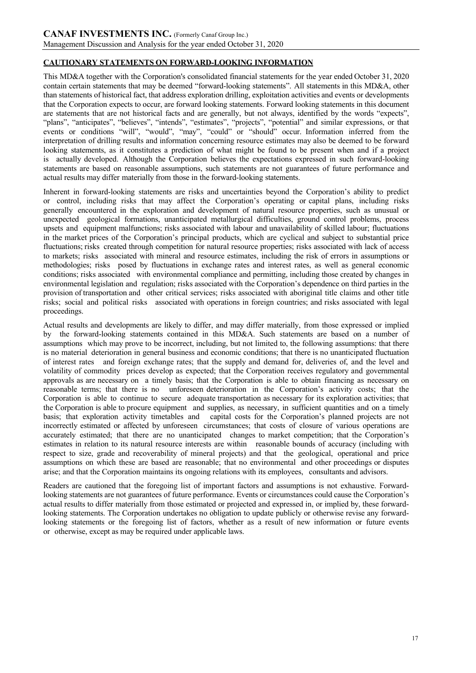# **CAUTIONARY STATEMENTS ON FORWARD-LOOKING INFORMATION**

This MD&A together with the Corporation's consolidated financial statements for the year ended October 31, 2020 contain certain statements that may be deemed "forward-looking statements". All statements in this MD&A, other than statements of historical fact, that address exploration drilling, exploitation activities and events or developments that the Corporation expects to occur, are forward looking statements. Forward looking statements in this document are statements that are not historical facts and are generally, but not always, identified by the words "expects", "plans", "anticipates", "believes", "intends", "estimates", "projects", "potential" and similar expressions, or that events or conditions "will", "would", "may", "could" or "should" occur. Information inferred from the interpretation of drilling results and information concerning resource estimates may also be deemed to be forward looking statements, as it constitutes a prediction of what might be found to be present when and if a project is actually developed. Although the Corporation believes the expectations expressed in such forward-looking statements are based on reasonable assumptions, such statements are not guarantees of future performance and actual results may differ materially from those in the forward-looking statements.

Inherent in forward-looking statements are risks and uncertainties beyond the Corporation's ability to predict or control, including risks that may affect the Corporation's operating or capital plans, including risks generally encountered in the exploration and development of natural resource properties, such as unusual or unexpected geological formations, unanticipated metallurgical difficulties, ground control problems, process upsets and equipment malfunctions; risks associated with labour and unavailability of skilled labour; fluctuations in the market prices of the Corporation's principal products, which are cyclical and subject to substantial price fluctuations; risks created through competition for natural resource properties; risks associated with lack of access to markets; risks associated with mineral and resource estimates, including the risk of errors in assumptions or methodologies; risks posed by fluctuations in exchange rates and interest rates, as well as general economic conditions; risks associated with environmental compliance and permitting, including those created by changes in environmental legislation and regulation; risks associated with the Corporation's dependence on third parties in the provision of transportation and other critical services; risks associated with aboriginal title claims and other title risks; social and political risks associated with operations in foreign countries; and risks associated with legal proceedings.

Actual results and developments are likely to differ, and may differ materially, from those expressed or implied by the forward-looking statements contained in this MD&A. Such statements are based on a number of assumptions which may prove to be incorrect, including, but not limited to, the following assumptions: that there is no material deterioration in general business and economic conditions; that there is no unanticipated fluctuation of interest rates and foreign exchange rates; that the supply and demand for, deliveries of, and the level and volatility of commodity prices develop as expected; that the Corporation receives regulatory and governmental approvals as are necessary on a timely basis; that the Corporation is able to obtain financing as necessary on reasonable terms; that there is no unforeseen deterioration in the Corporation's activity costs; that the Corporation is able to continue to secure adequate transportation as necessary for its exploration activities; that the Corporation is able to procure equipment and supplies, as necessary, in sufficient quantities and on a timely basis; that exploration activity timetables and capital costs for the Corporation's planned projects are not incorrectly estimated or affected by unforeseen circumstances; that costs of closure of various operations are accurately estimated; that there are no unanticipated changes to market competition; that the Corporation's estimates in relation to its natural resource interests are within reasonable bounds of accuracy (including with respect to size, grade and recoverability of mineral projects) and that the geological, operational and price assumptions on which these are based are reasonable; that no environmental and other proceedings or disputes arise; and that the Corporation maintains its ongoing relations with its employees, consultants and advisors.

Readers are cautioned that the foregoing list of important factors and assumptions is not exhaustive. Forwardlooking statements are not guarantees of future performance. Events or circumstances could cause the Corporation's actual results to differ materially from those estimated or projected and expressed in, or implied by, these forwardlooking statements. The Corporation undertakes no obligation to update publicly or otherwise revise any forwardlooking statements or the foregoing list of factors, whether as a result of new information or future events or otherwise, except as may be required under applicable laws.